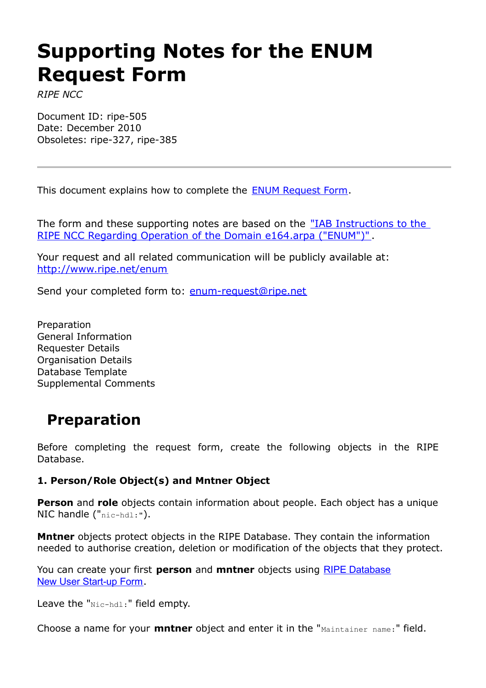# **Supporting Notes for the ENUM Request Form**

*RIPE NCC*

Document ID: ripe-505 Date: December 2010 Obsoletes: ripe-327, ripe-385

This document explains how to complete the ENUM [Request](http://www.ripe.net/ripe/docs/enum-request.html) Form.

The form and these supporting notes are based on the "IAB [Instructions](http://www.ripe.net/enum/instructions.html) to the RIPE NCC Regarding Operation of the Domain e164.arpa [\("ENUM"\)"](http://www.ripe.net/enum/instructions.html) .

Your request and all related communication will be publicly available at: <http://www.ripe.net/enum>

Send your completed form to: [enum-request@ripe.net](mailto:enum-request@ripe.net)

Preparation General Information Requester Details Organisation Details Database Template Supplemental Comments

# **Preparation**

Before completing the request form, create the following objects in the RIPE Database.

#### **1. Person/Role Object(s) and Mntner Object**

**Person** and **role** objects contain information about people. Each object has a unique NIC handle ("nic-hdl:").

**Mntner** objects protect objects in the RIPE Database. They contain the information needed to authorise creation, deletion or modification of the objects that they protect.

You can create your first **person** and **mntner** objects using RIPE [Database](http://apps.db.ripe.net/startup/) New User [Start-up](http://apps.db.ripe.net/startup/) Form.

Leave the "Nic-hdl:" field empty.

Choose a name for your **mntner** object and enter it in the "Maintainer name:" field.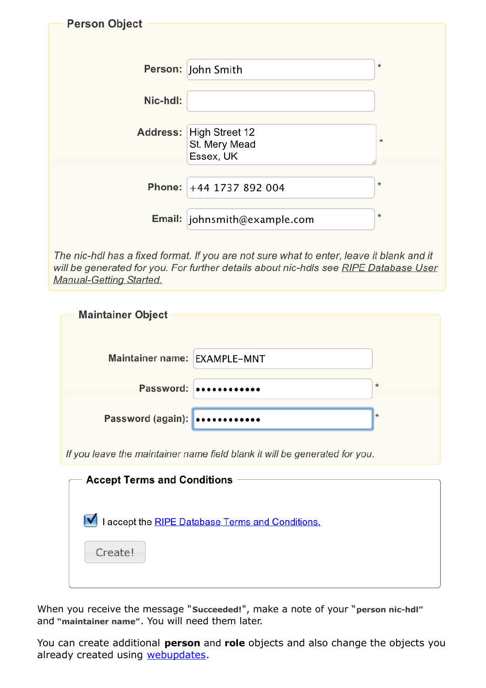| <b>Person Object</b> |                              |          |
|----------------------|------------------------------|----------|
|                      |                              |          |
|                      |                              |          |
|                      |                              |          |
|                      | Person: John Smith           | $^\star$ |
|                      |                              |          |
| Nic-hdl:             |                              |          |
|                      |                              |          |
|                      | Address: High Street 12      |          |
|                      | St. Mery Mead                | $\star$  |
|                      | Essex, UK                    |          |
|                      |                              |          |
|                      | Phone: +44 1737 892 004      | $^\star$ |
|                      |                              |          |
|                      |                              | $^\star$ |
|                      | Email: johnsmith@example.com |          |
|                      |                              |          |

The nic-hdl has a fixed format. If you are not sure what to enter, leave it blank and it will be generated for you. For further details about nic-hdls see RIPE Database User Manual-Getting Started.

| <b>Maintainer Object</b>     |                                                                            |         |
|------------------------------|----------------------------------------------------------------------------|---------|
| Maintainer name: EXAMPLE-MNT |                                                                            |         |
|                              | Password:                                                                  | $\star$ |
| Password (again):            |                                                                            | $\star$ |
|                              | If you leave the maintainer name field blank it will be generated for you. |         |

| <b>Accept Terms and Conditions</b>               |  |  |
|--------------------------------------------------|--|--|
|                                                  |  |  |
|                                                  |  |  |
| I accept the RIPE Database Terms and Conditions. |  |  |
|                                                  |  |  |
|                                                  |  |  |
| Create!                                          |  |  |
|                                                  |  |  |
|                                                  |  |  |

When you receive the message "**Succeeded!**", make a note of your "**person nic-hdl"** and **"maintainer name"**. You will need them later.

You can create additional **person** and **role** objects and also change the objects you already created using [webupdates.](https://www.ripe.net/webupdates)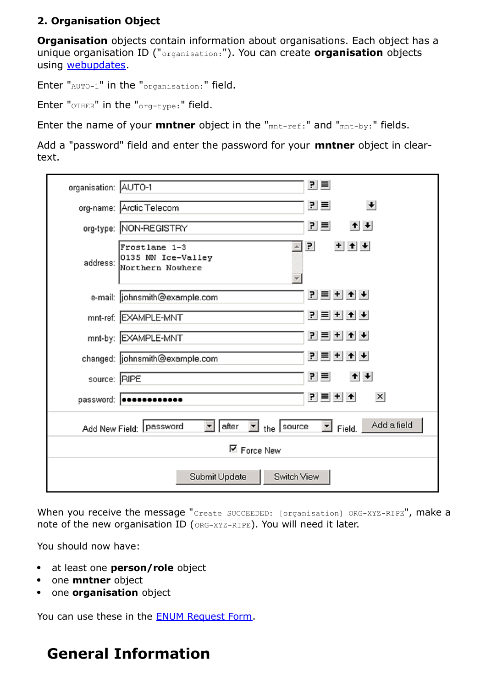#### **2. Organisation Object**

**Organisation** objects contain information about organisations. Each object has a unique organisation ID ("organisation:"). You can create **organisation** objects using [webupdates.](https://www.ripe.net/webupdates)

Enter "AUTO-1" in the "organisation:" field.

Enter "OTHER" in the "org-type:" field.

Enter the name of your **mntner** object in the "mnt-ref:" and "mnt-by:" fields.

Add a "password" field and enter the password for your **mntner** object in cleartext.

| organisation: AUTO-1                                                                                             | $P \equiv$                                                                       |  |
|------------------------------------------------------------------------------------------------------------------|----------------------------------------------------------------------------------|--|
|                                                                                                                  | $\left  \cdot \right $<br>킨트<br>org-name: Arctic Telecom                         |  |
|                                                                                                                  | 킨트<br>$+$ $+$<br>org-type: NON-REGISTRY                                          |  |
|                                                                                                                  | $+$ $+$<br>리<br>Frostlane 1-3<br>address: 0135 NN Ice-Valley<br>Northern Nowhere |  |
|                                                                                                                  | 관리비회图<br>e-mail:  johnsmith@example.com                                          |  |
|                                                                                                                  | <u>리티비+ ★</u><br>mnt-ref: EXAMPLE-MNT                                            |  |
|                                                                                                                  | <u> 리 티 +   +   +  </u><br>mnt-by: EXAMPLE-MNT                                   |  |
|                                                                                                                  | 귀 티 +   +   +<br>changed: johnsmith@example.com                                  |  |
| source: RIPE                                                                                                     | $+ + $<br>$P =$                                                                  |  |
| <u> 리티치</u><br>$\times$<br>password:   ************                                                              |                                                                                  |  |
| Add a field<br>after<br>the $ $ source<br>Add New Field: Password<br>$\blacktriangledown$<br>$\mathbb{Z}$ Field. |                                                                                  |  |
| ⊠ Force New                                                                                                      |                                                                                  |  |
| Submit Update<br>Switch View                                                                                     |                                                                                  |  |

When you receive the message "Create SUCCEEDED: [organisation] ORG-XYZ-RIPE", make a note of the new organisation ID (ORG-XYZ-RIPE). You will need it later.

You should now have:

- at least one **person/role** object
- **•** one **mntner** object
- **•** one **organisation** object

You can use these in the ENUM [Request](http://www.ripe.net/ripe/docs/enum-request.html) Form.

# **General Information**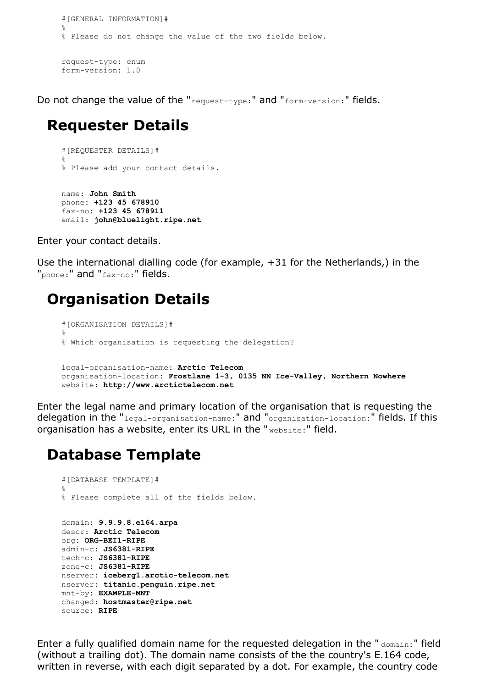```
#[GENERAL INFORMATION]#
%
% Please do not change the value of the two fields below.
request-type: enum
form-version: 1.0
```
Do not change the value of the "request-type:" and "form-version:" fields.

#### **Requester Details**

```
#[REQUESTER DETAILS]#
%
% Please add your contact details.
name: John Smith
phone: +123 45 678910
fax-no: +123 45 678911
email: john@bluelight.ripe.net
```
Enter your contact details.

Use the international dialling code (for example, +31 for the Netherlands,) in the "phone:" and "fax-no:" fields.

# **Organisation Details**

```
#[ORGANISATION DETAILS]#
%
% Which organisation is requesting the delegation?
legal-organisation-name: Arctic Telecom
organisation-location: Frostlane 1-3, 0135 NN Ice-Valley, Northern Nowhere
website: http://www.arctictelecom.net
```
Enter the legal name and primary location of the organisation that is requesting the delegation in the "legal-organisation-name:" and "organisation-location:" fields. If this organisation has a website, enter its URL in the " website:" field.

### **Database Template**

```
#[DATABASE TEMPLATE]#
%
% Please complete all of the fields below.
domain: 9.9.9.8.e164.arpa
descr: Arctic Telecom
org: ORG-BEI1-RIPE
admin-c: JS6381-RIPE
tech-c: JS6381-RIPE
zone-c: JS6381-RIPE
nserver: iceberg1.arctic-telecom.net
nserver: titanic.penguin.ripe.net
mnt-by: EXAMPLE-MNT
changed: hostmaster@ripe.net
source: RIPE
```
Enter a fully qualified domain name for the requested delegation in the " $\Delta_{\text{omain}}$ " field (without a trailing dot). The domain name consists of the the country's E.164 code, written in reverse, with each digit separated by a dot. For example, the country code